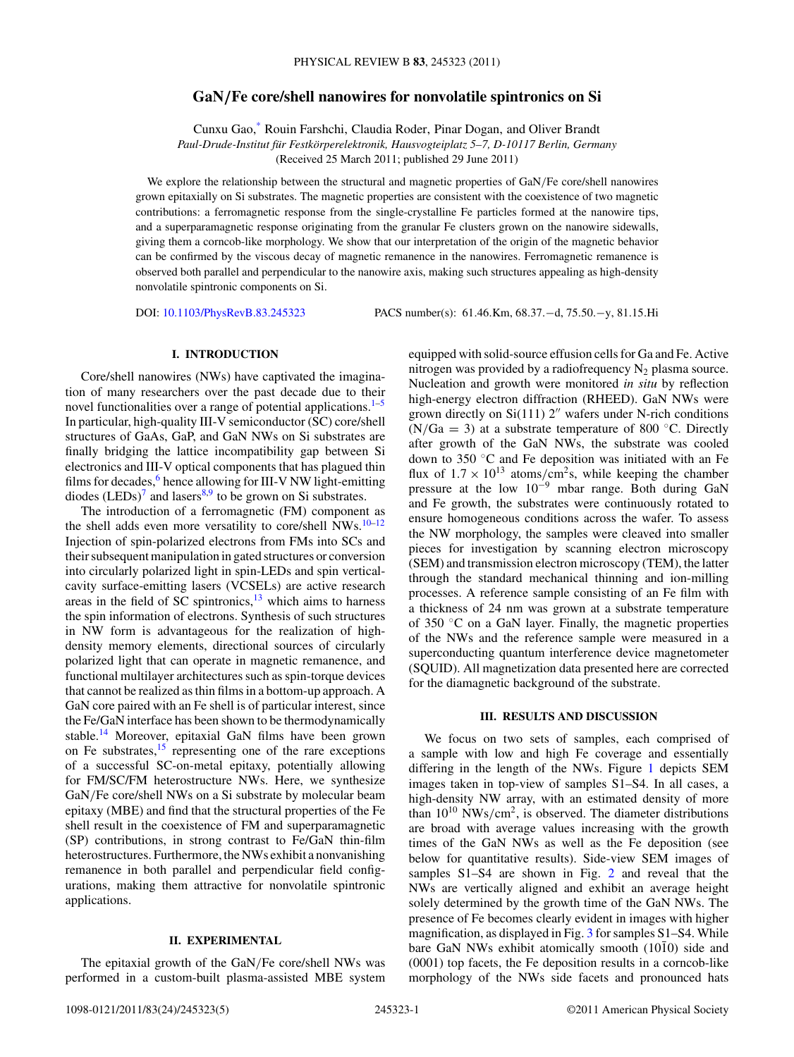# **GaN***/***Fe core/shell nanowires for nonvolatile spintronics on Si**

Cunxu Gao,[\\*](#page-4-0) Rouin Farshchi, Claudia Roder, Pinar Dogan, and Oliver Brandt *Paul-Drude-Institut fur Festk ¨ orperelektronik, Hausvogteiplatz 5–7, D-10117 Berlin, Germany ¨* (Received 25 March 2011; published 29 June 2011)

We explore the relationship between the structural and magnetic properties of GaN*/*Fe core/shell nanowires grown epitaxially on Si substrates. The magnetic properties are consistent with the coexistence of two magnetic contributions: a ferromagnetic response from the single-crystalline Fe particles formed at the nanowire tips, and a superparamagnetic response originating from the granular Fe clusters grown on the nanowire sidewalls, giving them a corncob-like morphology. We show that our interpretation of the origin of the magnetic behavior can be confirmed by the viscous decay of magnetic remanence in the nanowires. Ferromagnetic remanence is observed both parallel and perpendicular to the nanowire axis, making such structures appealing as high-density nonvolatile spintronic components on Si.

DOI: [10.1103/PhysRevB.83.245323](http://dx.doi.org/10.1103/PhysRevB.83.245323) PACS number(s): 61*.*46*.*Km, 68*.*37*.*−d, 75*.*50*.*−y, 81*.*15*.*Hi

## **I. INTRODUCTION**

Core/shell nanowires (NWs) have captivated the imagination of many researchers over the past decade due to their novel functionalities over a range of potential applications. $1-5$ In particular, high-quality III-V semiconductor (SC) core/shell structures of GaAs, GaP, and GaN NWs on Si substrates are finally bridging the lattice incompatibility gap between Si electronics and III-V optical components that has plagued thin films for decades, $6$  hence allowing for III-V NW light-emitting diodes  $(LEDs)^7$  and lasers<sup>[8,9](#page-4-0)</sup> to be grown on Si substrates.

The introduction of a ferromagnetic (FM) component as the shell adds even more versatility to core/shell NWs.<sup>10–12</sup> Injection of spin-polarized electrons from FMs into SCs and their subsequent manipulation in gated structures or conversion into circularly polarized light in spin-LEDs and spin verticalcavity surface-emitting lasers (VCSELs) are active research areas in the field of SC spintronics, $13$  which aims to harness the spin information of electrons. Synthesis of such structures in NW form is advantageous for the realization of highdensity memory elements, directional sources of circularly polarized light that can operate in magnetic remanence, and functional multilayer architectures such as spin-torque devices that cannot be realized as thin films in a bottom-up approach. A GaN core paired with an Fe shell is of particular interest, since the Fe/GaN interface has been shown to be thermodynamically stable.[14](#page-4-0) Moreover, epitaxial GaN films have been grown on Fe substrates, $\frac{15}{15}$  $\frac{15}{15}$  $\frac{15}{15}$  representing one of the rare exceptions of a successful SC-on-metal epitaxy, potentially allowing for FM/SC/FM heterostructure NWs. Here, we synthesize GaN*/*Fe core/shell NWs on a Si substrate by molecular beam epitaxy (MBE) and find that the structural properties of the Fe shell result in the coexistence of FM and superparamagnetic (SP) contributions, in strong contrast to Fe/GaN thin-film heterostructures. Furthermore, the NWs exhibit a nonvanishing remanence in both parallel and perpendicular field configurations, making them attractive for nonvolatile spintronic applications.

## **II. EXPERIMENTAL**

The epitaxial growth of the GaN*/*Fe core/shell NWs was performed in a custom-built plasma-assisted MBE system equipped with solid-source effusion cells for Ga and Fe. Active nitrogen was provided by a radiofrequency  $N_2$  plasma source. Nucleation and growth were monitored *in situ* by reflection high-energy electron diffraction (RHEED). GaN NWs were grown directly on  $Si(111)$  2" wafers under N-rich conditions  $(N/Ga = 3)$  at a substrate temperature of 800 °C. Directly after growth of the GaN NWs, the substrate was cooled down to 350 ◦C and Fe deposition was initiated with an Fe flux of  $1.7 \times 10^{13}$  atoms/cm<sup>2</sup>s, while keeping the chamber pressure at the low 10−<sup>9</sup> mbar range. Both during GaN and Fe growth, the substrates were continuously rotated to ensure homogeneous conditions across the wafer. To assess the NW morphology, the samples were cleaved into smaller pieces for investigation by scanning electron microscopy (SEM) and transmission electron microscopy (TEM), the latter through the standard mechanical thinning and ion-milling processes. A reference sample consisting of an Fe film with a thickness of 24 nm was grown at a substrate temperature of 350 ◦C on a GaN layer. Finally, the magnetic properties of the NWs and the reference sample were measured in a superconducting quantum interference device magnetometer (SQUID). All magnetization data presented here are corrected for the diamagnetic background of the substrate.

### **III. RESULTS AND DISCUSSION**

We focus on two sets of samples, each comprised of a sample with low and high Fe coverage and essentially differing in the length of the NWs. Figure [1](#page-1-0) depicts SEM images taken in top-view of samples S1–S4. In all cases, a high-density NW array, with an estimated density of more than  $10^{10}$  NWs/cm<sup>2</sup>, is observed. The diameter distributions are broad with average values increasing with the growth times of the GaN NWs as well as the Fe deposition (see below for quantitative results). Side-view SEM images of samples S1–S4 are shown in Fig. [2](#page-1-0) and reveal that the NWs are vertically aligned and exhibit an average height solely determined by the growth time of the GaN NWs. The presence of Fe becomes clearly evident in images with higher magnification, as displayed in Fig. [3](#page-2-0) for samples S1–S4. While bare GaN NWs exhibit atomically smooth  $(10\bar{1}0)$  side and (0001) top facets, the Fe deposition results in a corncob-like morphology of the NWs side facets and pronounced hats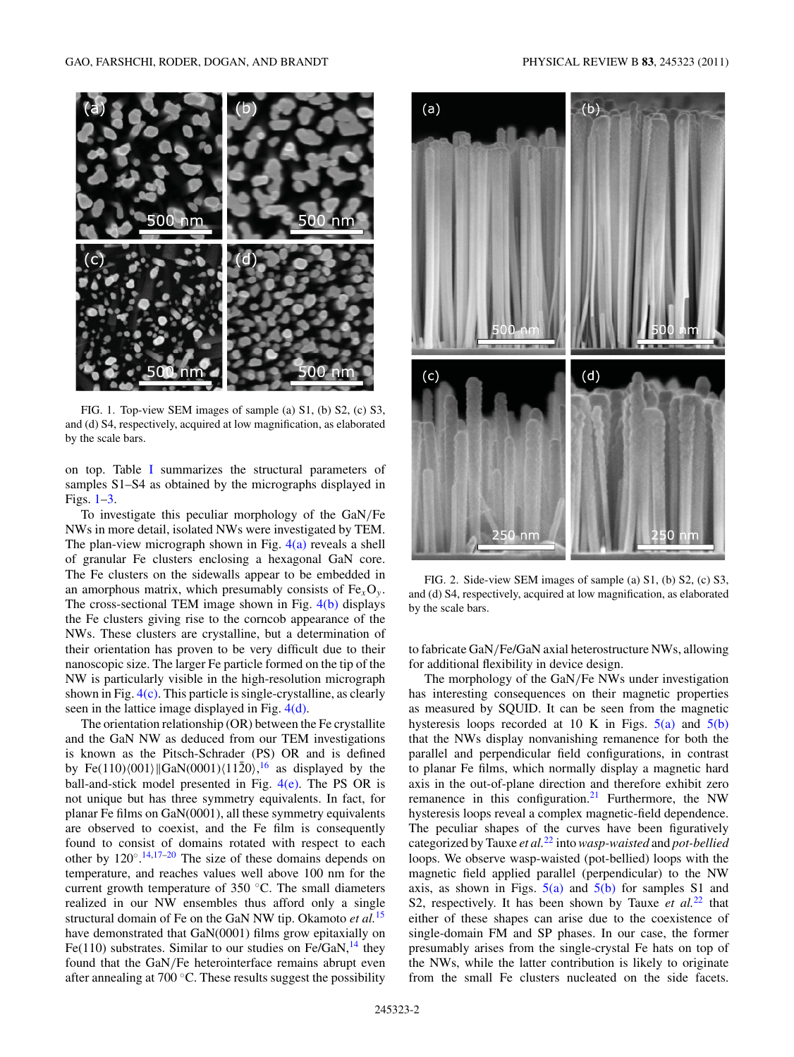<span id="page-1-0"></span>

FIG. 1. Top-view SEM images of sample (a) S1, (b) S2, (c) S3, and (d) S4, respectively, acquired at low magnification, as elaborated by the scale bars.

on top. Table [I](#page-2-0) summarizes the structural parameters of samples S1–S4 as obtained by the micrographs displayed in Figs. 1[–3.](#page-2-0)

To investigate this peculiar morphology of the GaN*/*Fe NWs in more detail, isolated NWs were investigated by TEM. The plan-view micrograph shown in Fig. [4\(a\)](#page-2-0) reveals a shell of granular Fe clusters enclosing a hexagonal GaN core. The Fe clusters on the sidewalls appear to be embedded in an amorphous matrix, which presumably consists of  $Fe<sub>x</sub>O<sub>y</sub>$ . The cross-sectional TEM image shown in Fig. [4\(b\)](#page-2-0) displays the Fe clusters giving rise to the corncob appearance of the NWs. These clusters are crystalline, but a determination of their orientation has proven to be very difficult due to their nanoscopic size. The larger Fe particle formed on the tip of the NW is particularly visible in the high-resolution micrograph shown in Fig. [4\(c\).](#page-2-0) This particle is single-crystalline, as clearly seen in the lattice image displayed in Fig. [4\(d\).](#page-2-0)

The orientation relationship (OR) between the Fe crystallite and the GaN NW as deduced from our TEM investigations is known as the Pitsch-Schrader (PS) OR and is defined by Fe(110) $\langle 001 \rangle$  GaN $\langle 0001 \rangle$  $\langle 11\overline{2}0 \rangle$ , <sup>[16](#page-4-0)</sup> as displayed by the ball-and-stick model presented in Fig.  $4(e)$ . The PS OR is not unique but has three symmetry equivalents. In fact, for planar Fe films on GaN(0001), all these symmetry equivalents are observed to coexist, and the Fe film is consequently found to consist of domains rotated with respect to each other by  $120^{\circ}$ .<sup>[14,17–20](#page-4-0)</sup> The size of these domains depends on temperature, and reaches values well above 100 nm for the current growth temperature of 350 ◦C. The small diameters realized in our NW ensembles thus afford only a single structural domain of Fe on the GaN NW tip. Okamoto *et al.*[15](#page-4-0) have demonstrated that GaN(0001) films grow epitaxially on Fe(110) substrates. Similar to our studies on Fe/GaN, $^{14}$  they found that the GaN*/*Fe heterointerface remains abrupt even after annealing at 700 ◦C. These results suggest the possibility



FIG. 2. Side-view SEM images of sample (a) S1, (b) S2, (c) S3, and (d) S4, respectively, acquired at low magnification, as elaborated by the scale bars.

to fabricate GaN*/*Fe/GaN axial heterostructure NWs, allowing for additional flexibility in device design.

The morphology of the GaN*/*Fe NWs under investigation has interesting consequences on their magnetic properties as measured by SQUID. It can be seen from the magnetic hysteresis loops recorded at 10 K in Figs.  $5(a)$  and  $5(b)$ that the NWs display nonvanishing remanence for both the parallel and perpendicular field configurations, in contrast to planar Fe films, which normally display a magnetic hard axis in the out-of-plane direction and therefore exhibit zero remanence in this configuration.<sup>21</sup> Furthermore, the NW hysteresis loops reveal a complex magnetic-field dependence. The peculiar shapes of the curves have been figuratively categorized by Tauxe *et al.*[22](#page-4-0) into*wasp-waisted* and *pot-bellied* loops. We observe wasp-waisted (pot-bellied) loops with the magnetic field applied parallel (perpendicular) to the NW axis, as shown in Figs.  $5(a)$  and  $5(b)$  for samples S1 and S2, respectively. It has been shown by Tauxe *et al.*<sup>[22](#page-4-0)</sup> that either of these shapes can arise due to the coexistence of single-domain FM and SP phases. In our case, the former presumably arises from the single-crystal Fe hats on top of the NWs, while the latter contribution is likely to originate from the small Fe clusters nucleated on the side facets.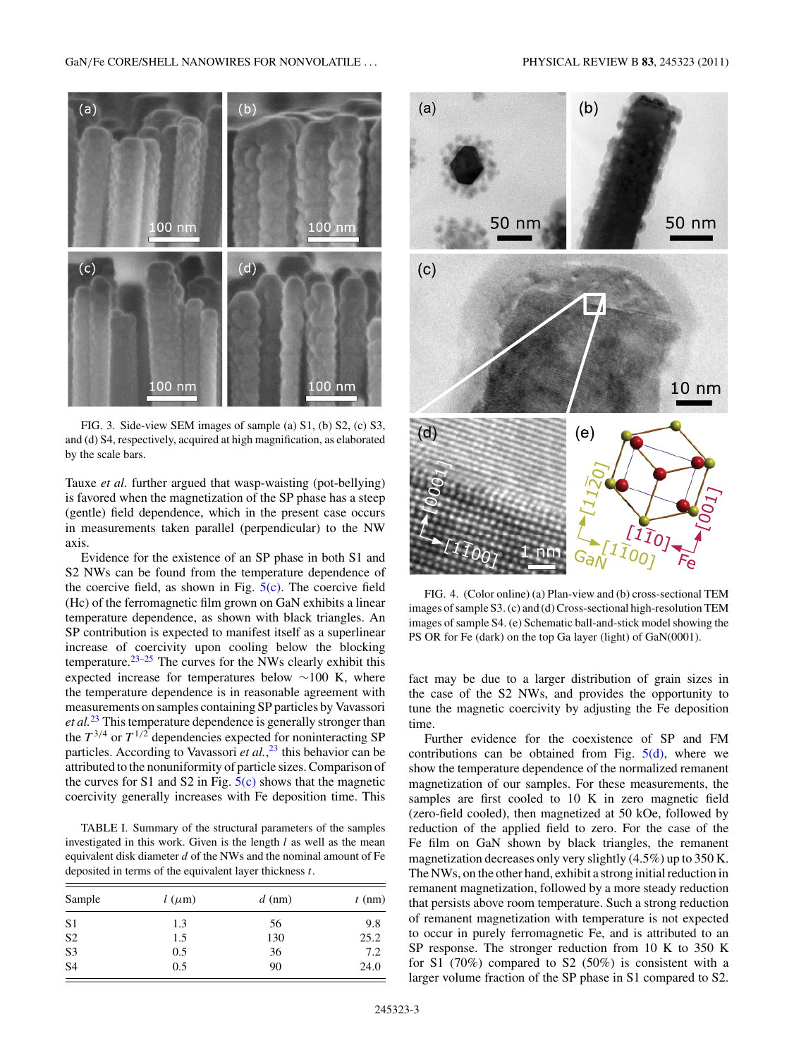<span id="page-2-0"></span>

FIG. 3. Side-view SEM images of sample (a) S1, (b) S2, (c) S3, and (d) S4, respectively, acquired at high magnification, as elaborated by the scale bars.

Tauxe *et al.* further argued that wasp-waisting (pot-bellying) is favored when the magnetization of the SP phase has a steep (gentle) field dependence, which in the present case occurs in measurements taken parallel (perpendicular) to the NW axis.

Evidence for the existence of an SP phase in both S1 and S2 NWs can be found from the temperature dependence of the coercive field, as shown in Fig.  $5(c)$ . The coercive field (Hc) of the ferromagnetic film grown on GaN exhibits a linear temperature dependence, as shown with black triangles. An SP contribution is expected to manifest itself as a superlinear increase of coercivity upon cooling below the blocking temperature.[23–25](#page-4-0) The curves for the NWs clearly exhibit this expected increase for temperatures below ∼100 K, where the temperature dependence is in reasonable agreement with measurements on samples containing SP particles by Vavassori *et al.*[23](#page-4-0) This temperature dependence is generally stronger than the  $T^{3/4}$  or  $T^{1/2}$  dependencies expected for noninteracting SP particles. According to Vavassori *et al.*, [23](#page-4-0) this behavior can be attributed to the nonuniformity of particle sizes. Comparison of the curves for S1 and S2 in Fig.  $5(c)$  shows that the magnetic coercivity generally increases with Fe deposition time. This

TABLE I. Summary of the structural parameters of the samples investigated in this work. Given is the length *l* as well as the mean equivalent disk diameter *d* of the NWs and the nominal amount of Fe deposited in terms of the equivalent layer thickness *t*.

| Sample         | $l(\mu m)$ | $d$ (nm) | $t \text{ (nm)}$ |
|----------------|------------|----------|------------------|
| S <sub>1</sub> | 1.3        | 56       | 9.8              |
| S <sub>2</sub> | 1.5        | 130      | 25.2             |
| S3             | 0.5        | 36       | 7.2              |
| S <sub>4</sub> | 0.5        | 90       | 24.0             |



FIG. 4. (Color online) (a) Plan-view and (b) cross-sectional TEM images of sample S3. (c) and (d) Cross-sectional high-resolution TEM images of sample S4. (e) Schematic ball-and-stick model showing the PS OR for Fe (dark) on the top Ga layer (light) of GaN(0001).

fact may be due to a larger distribution of grain sizes in the case of the S2 NWs, and provides the opportunity to tune the magnetic coercivity by adjusting the Fe deposition time.

Further evidence for the coexistence of SP and FM contributions can be obtained from Fig.  $5(d)$ , where we show the temperature dependence of the normalized remanent magnetization of our samples. For these measurements, the samples are first cooled to 10 K in zero magnetic field (zero-field cooled), then magnetized at 50 kOe, followed by reduction of the applied field to zero. For the case of the Fe film on GaN shown by black triangles, the remanent magnetization decreases only very slightly (4.5%) up to 350 K. The NWs, on the other hand, exhibit a strong initial reduction in remanent magnetization, followed by a more steady reduction that persists above room temperature. Such a strong reduction of remanent magnetization with temperature is not expected to occur in purely ferromagnetic Fe, and is attributed to an SP response. The stronger reduction from 10 K to 350 K for S1 (70%) compared to S2 (50%) is consistent with a larger volume fraction of the SP phase in S1 compared to S2.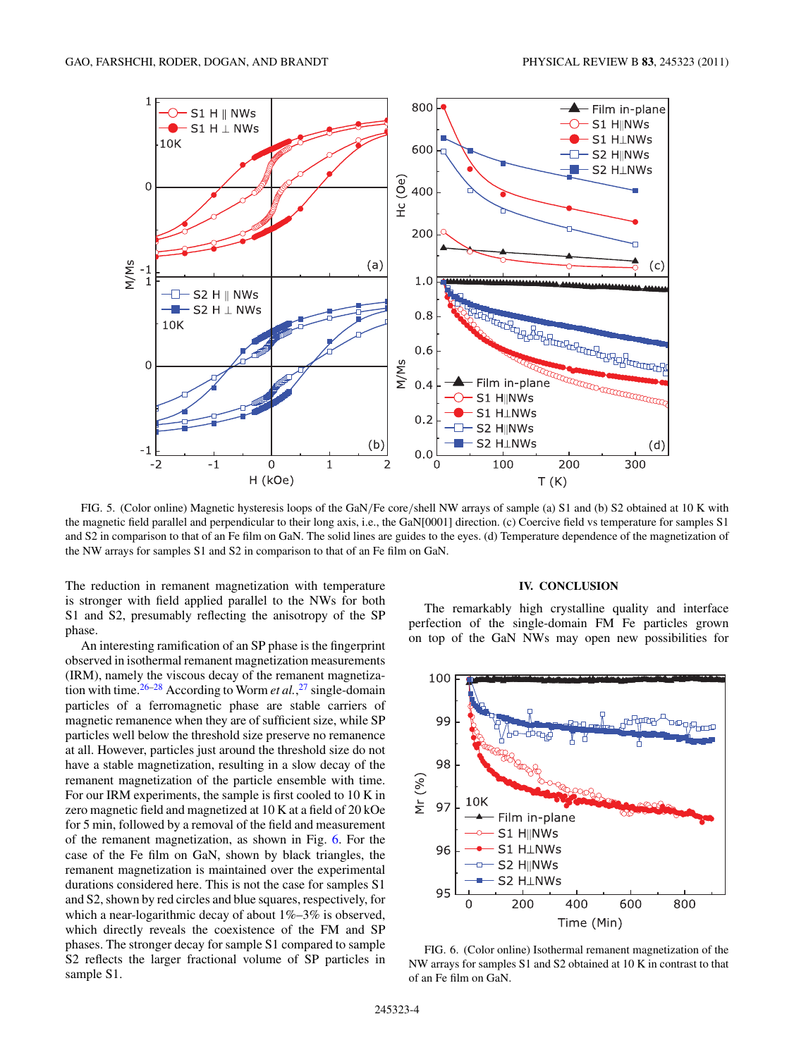<span id="page-3-0"></span>

FIG. 5. (Color online) Magnetic hysteresis loops of the GaN*/*Fe core*/*shell NW arrays of sample (a) S1 and (b) S2 obtained at 10 K with the magnetic field parallel and perpendicular to their long axis, i.e., the GaN[0001] direction. (c) Coercive field vs temperature for samples S1 and S2 in comparison to that of an Fe film on GaN. The solid lines are guides to the eyes. (d) Temperature dependence of the magnetization of the NW arrays for samples S1 and S2 in comparison to that of an Fe film on GaN.

The reduction in remanent magnetization with temperature is stronger with field applied parallel to the NWs for both S1 and S2, presumably reflecting the anisotropy of the SP phase.

An interesting ramification of an SP phase is the fingerprint observed in isothermal remanent magnetization measurements (IRM), namely the viscous decay of the remanent magnetization with time.[26–28](#page-4-0) According to Worm *et al.*, [27](#page-4-0) single-domain particles of a ferromagnetic phase are stable carriers of magnetic remanence when they are of sufficient size, while SP particles well below the threshold size preserve no remanence at all. However, particles just around the threshold size do not have a stable magnetization, resulting in a slow decay of the remanent magnetization of the particle ensemble with time. For our IRM experiments, the sample is first cooled to 10 K in zero magnetic field and magnetized at 10 K at a field of 20 kOe for 5 min, followed by a removal of the field and measurement of the remanent magnetization, as shown in Fig. 6. For the case of the Fe film on GaN, shown by black triangles, the remanent magnetization is maintained over the experimental durations considered here. This is not the case for samples S1 and S2, shown by red circles and blue squares, respectively, for which a near-logarithmic decay of about  $1\% - 3\%$  is observed, which directly reveals the coexistence of the FM and SP phases. The stronger decay for sample S1 compared to sample S2 reflects the larger fractional volume of SP particles in sample S1.

### **IV. CONCLUSION**

The remarkably high crystalline quality and interface perfection of the single-domain FM Fe particles grown on top of the GaN NWs may open new possibilities for



FIG. 6. (Color online) Isothermal remanent magnetization of the NW arrays for samples S1 and S2 obtained at 10 K in contrast to that of an Fe film on GaN.